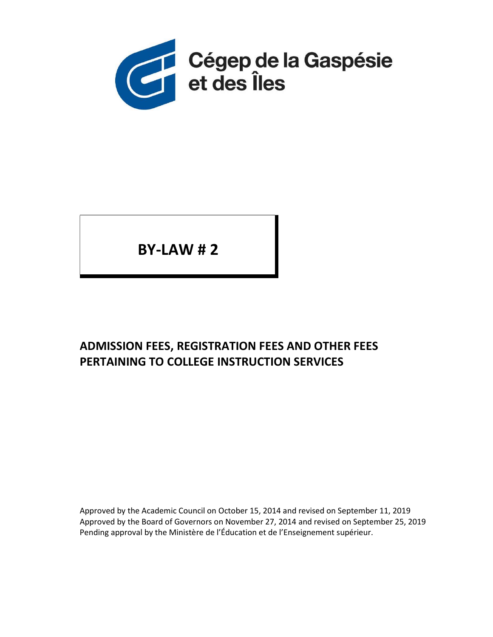

BY-LAW # 2

# ADMISSION FEES, REGISTRATION FEES AND OTHER FEES PERTAINING TO COLLEGE INSTRUCTION SERVICES

Approved by the Academic Council on October 15, 2014 and revised on September 11, 2019 Approved by the Board of Governors on November 27, 2014 and revised on September 25, 2019 Pending approval by the Ministère de l'Éducation et de l'Enseignement supérieur.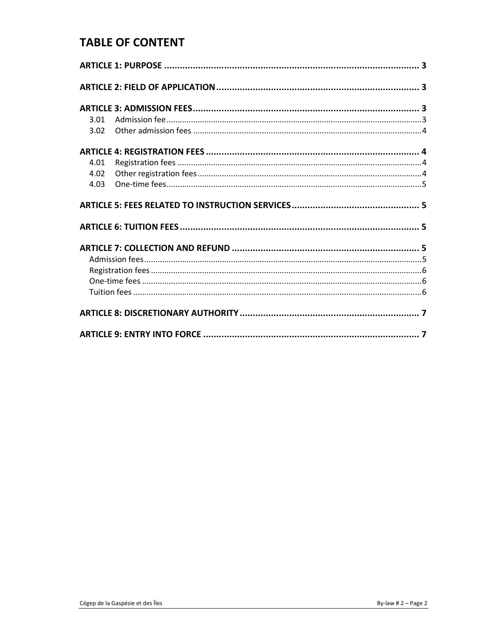### **TABLE OF CONTENT**

| 3.01 |  |  |
|------|--|--|
| 3.02 |  |  |
|      |  |  |
| 4.01 |  |  |
| 4.02 |  |  |
| 4.03 |  |  |
|      |  |  |
|      |  |  |
|      |  |  |
|      |  |  |
|      |  |  |
|      |  |  |
|      |  |  |
|      |  |  |
|      |  |  |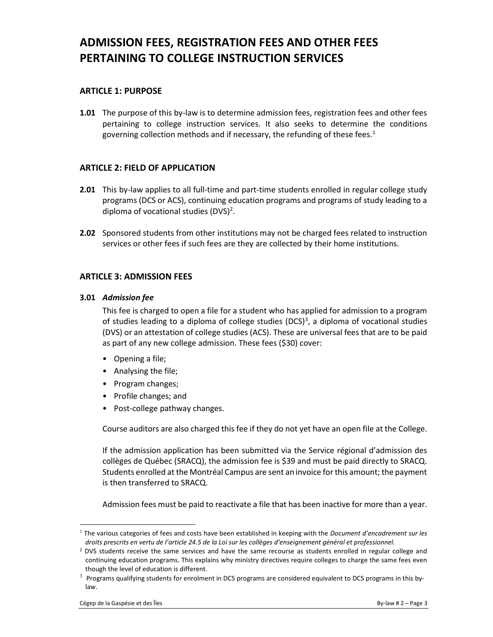## ADMISSION FEES, REGISTRATION FEES AND OTHER FEES PERTAINING TO COLLEGE INSTRUCTION SERVICES

### ARTICLE 1: PURPOSE

**1.01** The purpose of this by-law is to determine admission fees, registration fees and other fees pertaining to college instruction services. It also seeks to determine the conditions governing collection methods and if necessary, the refunding of these fees.<sup>1</sup>

#### ARTICLE 2: FIELD OF APPLICATION

- 2.01 This by-law applies to all full-time and part-time students enrolled in regular college study programs (DCS or ACS), continuing education programs and programs of study leading to a diploma of vocational studies  $(DVS)^2$ .
- 2.02 Sponsored students from other institutions may not be charged fees related to instruction services or other fees if such fees are they are collected by their home institutions.

#### ARTICLE 3: ADMISSION FEES

#### 3.01 Admission fee

This fee is charged to open a file for a student who has applied for admission to a program of studies leading to a diploma of college studies (DCS) $3$ , a diploma of vocational studies (DVS) or an attestation of college studies (ACS). These are universal fees that are to be paid as part of any new college admission. These fees (\$30) cover:

- Opening a file;
- Analysing the file;
- Program changes;
- Profile changes; and
- Post-college pathway changes.

Course auditors are also charged this fee if they do not yet have an open file at the College.

If the admission application has been submitted via the Service régional d'admission des collèges de Québec (SRACQ), the admission fee is \$39 and must be paid directly to SRACQ. Students enrolled at the Montréal Campus are sent an invoice for this amount; the payment is then transferred to SRACQ.

Admission fees must be paid to reactivate a file that has been inactive for more than a year.

 $1$  The various categories of fees and costs have been established in keeping with the *Document d'encadrement sur les* droits prescrits en vertu de l'article 24.5 de la Loi sur les collèges d'enseignement général et professionnel.

<sup>&</sup>lt;sup>2</sup> DVS students receive the same services and have the same recourse as students enrolled in regular college and continuing education programs. This explains why ministry directives require colleges to charge the same fees even though the level of education is different.

 $3$  Programs qualifying students for enrolment in DCS programs are considered equivalent to DCS programs in this bylaw.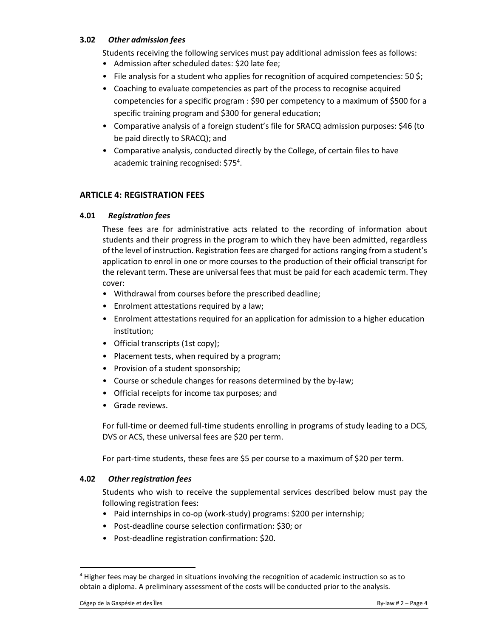#### 3.02 Other admission fees

Students receiving the following services must pay additional admission fees as follows:

- Admission after scheduled dates: \$20 late fee;
- File analysis for a student who applies for recognition of acquired competencies:  $50 \text{ } \xi$ ;
- Coaching to evaluate competencies as part of the process to recognise acquired competencies for a specific program : \$90 per competency to a maximum of \$500 for a specific training program and \$300 for general education;
- Comparative analysis of a foreign student's file for SRACQ admission purposes: \$46 (to be paid directly to SRACQ); and
- Comparative analysis, conducted directly by the College, of certain files to have academic training recognised: \$75<sup>4</sup>.

### ARTICLE 4: REGISTRATION FEES

#### 4.01 Registration fees

These fees are for administrative acts related to the recording of information about students and their progress in the program to which they have been admitted, regardless of the level of instruction. Registration fees are charged for actions ranging from a student's application to enrol in one or more courses to the production of their official transcript for the relevant term. These are universal fees that must be paid for each academic term. They cover:

- Withdrawal from courses before the prescribed deadline;
- Enrolment attestations required by a law;
- Enrolment attestations required for an application for admission to a higher education institution;
- Official transcripts (1st copy);
- Placement tests, when required by a program;
- Provision of a student sponsorship;
- Course or schedule changes for reasons determined by the by-law;
- Official receipts for income tax purposes; and
- Grade reviews.

For full-time or deemed full-time students enrolling in programs of study leading to a DCS, DVS or ACS, these universal fees are \$20 per term.

For part-time students, these fees are \$5 per course to a maximum of \$20 per term.

#### 4.02 Other registration fees

Students who wish to receive the supplemental services described below must pay the following registration fees:

- Paid internships in co-op (work-study) programs: \$200 per internship;
- Post-deadline course selection confirmation: \$30; or
- Post-deadline registration confirmation: \$20.

<sup>&</sup>lt;sup>4</sup> Higher fees may be charged in situations involving the recognition of academic instruction so as to obtain a diploma. A preliminary assessment of the costs will be conducted prior to the analysis.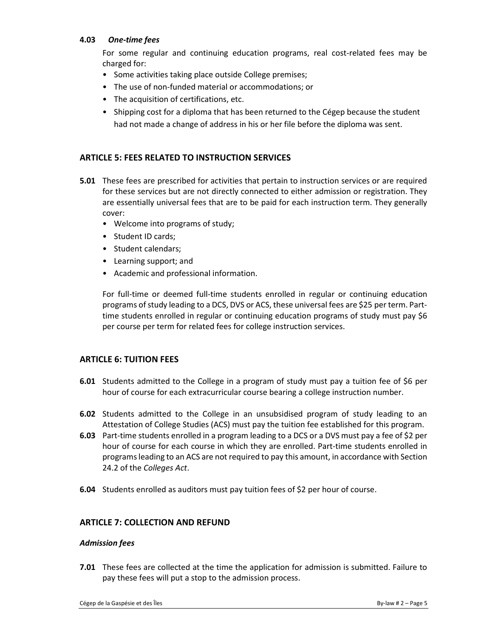#### 4.03 One-time fees

For some regular and continuing education programs, real cost-related fees may be charged for:

- Some activities taking place outside College premises;
- The use of non-funded material or accommodations; or
- The acquisition of certifications, etc.
- Shipping cost for a diploma that has been returned to the Cégep because the student had not made a change of address in his or her file before the diploma was sent.

#### ARTICLE 5: FEES RELATED TO INSTRUCTION SERVICES

- 5.01 These fees are prescribed for activities that pertain to instruction services or are required for these services but are not directly connected to either admission or registration. They are essentially universal fees that are to be paid for each instruction term. They generally cover:
	- Welcome into programs of study;
	- Student ID cards;
	- Student calendars;
	- Learning support; and
	- Academic and professional information.

For full-time or deemed full-time students enrolled in regular or continuing education programs of study leading to a DCS, DVS or ACS, these universal fees are \$25 per term. Parttime students enrolled in regular or continuing education programs of study must pay \$6 per course per term for related fees for college instruction services.

#### ARTICLE 6: TUITION FEES

- 6.01 Students admitted to the College in a program of study must pay a tuition fee of \$6 per hour of course for each extracurricular course bearing a college instruction number.
- **6.02** Students admitted to the College in an unsubsidised program of study leading to an Attestation of College Studies (ACS) must pay the tuition fee established for this program.
- 6.03 Part-time students enrolled in a program leading to a DCS or a DVS must pay a fee of \$2 per hour of course for each course in which they are enrolled. Part-time students enrolled in programs leading to an ACS are not required to pay this amount, in accordance with Section 24.2 of the Colleges Act.
- 6.04 Students enrolled as auditors must pay tuition fees of \$2 per hour of course.

#### ARTICLE 7: COLLECTION AND REFUND

#### Admission fees

7.01 These fees are collected at the time the application for admission is submitted. Failure to pay these fees will put a stop to the admission process.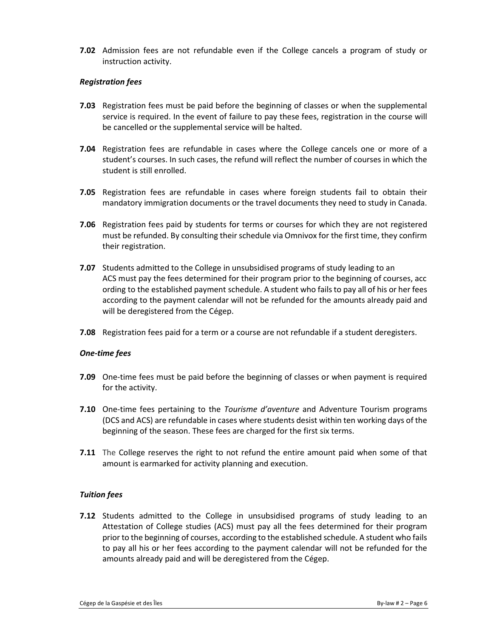7.02 Admission fees are not refundable even if the College cancels a program of study or instruction activity.

#### Registration fees

- 7.03 Registration fees must be paid before the beginning of classes or when the supplemental service is required. In the event of failure to pay these fees, registration in the course will be cancelled or the supplemental service will be halted.
- 7.04 Registration fees are refundable in cases where the College cancels one or more of a student's courses. In such cases, the refund will reflect the number of courses in which the student is still enrolled.
- 7.05 Registration fees are refundable in cases where foreign students fail to obtain their mandatory immigration documents or the travel documents they need to study in Canada.
- 7.06 Registration fees paid by students for terms or courses for which they are not registered must be refunded. By consulting their schedule via Omnivox for the first time, they confirm their registration.
- 7.07 Students admitted to the College in unsubsidised programs of study leading to an ACS must pay the fees determined for their program prior to the beginning of courses, acc ording to the established payment schedule. A student who fails to pay all of his or her fees according to the payment calendar will not be refunded for the amounts already paid and will be deregistered from the Cégep.
- 7.08 Registration fees paid for a term or a course are not refundable if a student deregisters.

#### One-time fees

- 7.09 One-time fees must be paid before the beginning of classes or when payment is required for the activity.
- **7.10** One-time fees pertaining to the *Tourisme d'aventure* and Adventure Tourism programs (DCS and ACS) are refundable in cases where students desist within ten working days of the beginning of the season. These fees are charged for the first six terms.
- **7.11** The College reserves the right to not refund the entire amount paid when some of that amount is earmarked for activity planning and execution.

#### Tuition fees

**7.12** Students admitted to the College in unsubsidised programs of study leading to an Attestation of College studies (ACS) must pay all the fees determined for their program prior to the beginning of courses, according to the established schedule. A student who fails to pay all his or her fees according to the payment calendar will not be refunded for the amounts already paid and will be deregistered from the Cégep.